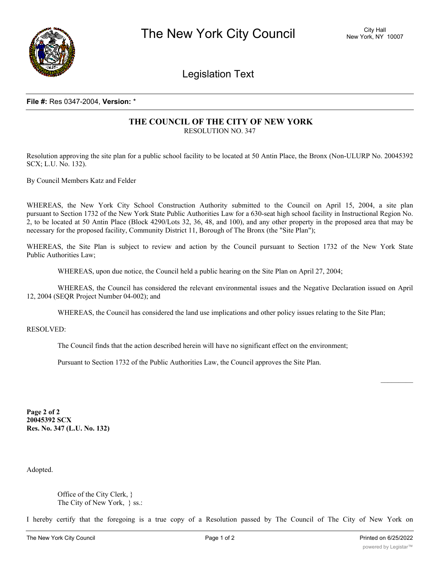

Legislation Text

## **File #:** Res 0347-2004, **Version:** \*

## **THE COUNCIL OF THE CITY OF NEW YORK** RESOLUTION NO. 347

Resolution approving the site plan for a public school facility to be located at 50 Antin Place, the Bronx (Non-ULURP No. 20045392 SCX; L.U. No. 132).

By Council Members Katz and Felder

WHEREAS, the New York City School Construction Authority submitted to the Council on April 15, 2004, a site plan pursuant to Section 1732 of the New York State Public Authorities Law for a 630-seat high school facility in Instructional Region No. 2, to be located at 50 Antin Place (Block 4290/Lots 32, 36, 48, and 100), and any other property in the proposed area that may be necessary for the proposed facility, Community District 11, Borough of The Bronx (the "Site Plan");

WHEREAS, the Site Plan is subject to review and action by the Council pursuant to Section 1732 of the New York State Public Authorities Law;

WHEREAS, upon due notice, the Council held a public hearing on the Site Plan on April 27, 2004;

WHEREAS, the Council has considered the relevant environmental issues and the Negative Declaration issued on April 12, 2004 (SEQR Project Number 04-002); and

WHEREAS, the Council has considered the land use implications and other policy issues relating to the Site Plan;

RESOLVED:

The Council finds that the action described herein will have no significant effect on the environment;

Pursuant to Section 1732 of the Public Authorities Law, the Council approves the Site Plan.

**Page 2 of 2 20045392 SCX Res. No. 347 (L.U. No. 132)**

Adopted.

Office of the City Clerk, } The City of New York, } ss.:

I hereby certify that the foregoing is a true copy of a Resolution passed by The Council of The City of New York on